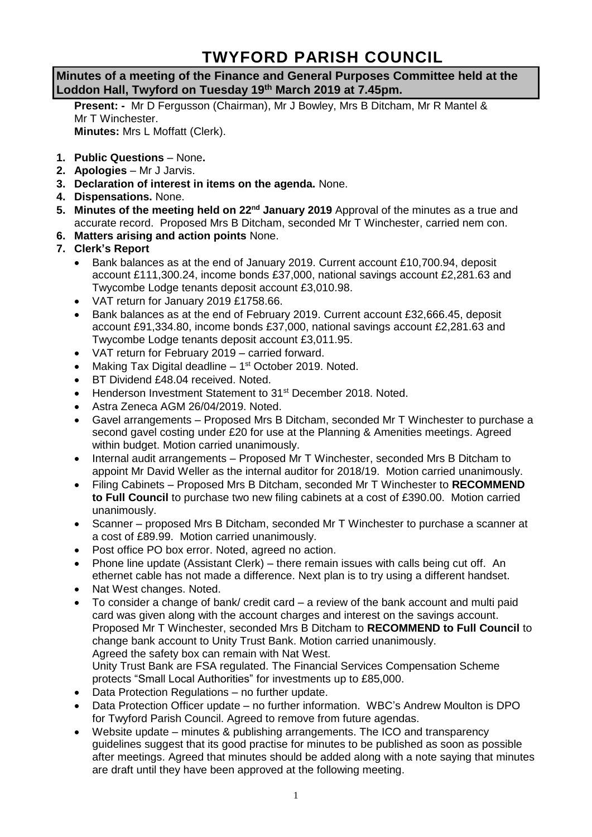# **TWYFORD PARISH COUNCIL**

## **Minutes of a meeting of the Finance and General Purposes Committee held at the Loddon Hall, Twyford on Tuesday 19th March 2019 at 7.45pm.**

**Present: -** Mr D Fergusson (Chairman), Mr J Bowley, Mrs B Ditcham, Mr R Mantel & Mr T Winchester. **Minutes:** Mrs L Moffatt (Clerk).

- **1. Public Questions** None**.**
- **2. Apologies** Mr J Jarvis.
- **3. Declaration of interest in items on the agenda.** None.
- **4. Dispensations.** None.
- **5. Minutes of the meeting held on 22nd January 2019** Approval of the minutes as a true and accurate record. Proposed Mrs B Ditcham, seconded Mr T Winchester, carried nem con.
- **6. Matters arising and action points** None.
- **7. Clerk's Report**
	- Bank balances as at the end of January 2019. Current account £10,700.94, deposit account £111,300.24, income bonds £37,000, national savings account £2,281.63 and Twycombe Lodge tenants deposit account £3,010.98.
	- VAT return for January 2019 £1758.66.
	- Bank balances as at the end of February 2019. Current account £32,666.45, deposit account £91,334.80, income bonds £37,000, national savings account £2,281.63 and Twycombe Lodge tenants deposit account £3,011.95.
	- VAT return for February 2019 carried forward.
	- Making Tax Digital deadline 1<sup>st</sup> October 2019. Noted.
	- BT Dividend £48.04 received. Noted.
	- Henderson Investment Statement to 31<sup>st</sup> December 2018. Noted.
	- Astra Zeneca AGM 26/04/2019. Noted.
	- Gavel arrangements Proposed Mrs B Ditcham, seconded Mr T Winchester to purchase a second gavel costing under £20 for use at the Planning & Amenities meetings. Agreed within budget. Motion carried unanimously.
	- Internal audit arrangements Proposed Mr T Winchester, seconded Mrs B Ditcham to appoint Mr David Weller as the internal auditor for 2018/19. Motion carried unanimously.
	- Filing Cabinets Proposed Mrs B Ditcham, seconded Mr T Winchester to **RECOMMEND to Full Council** to purchase two new filing cabinets at a cost of £390.00. Motion carried unanimously.
	- Scanner proposed Mrs B Ditcham, seconded Mr T Winchester to purchase a scanner at a cost of £89.99. Motion carried unanimously.
	- Post office PO box error. Noted, agreed no action.
	- Phone line update (Assistant Clerk) there remain issues with calls being cut off. An ethernet cable has not made a difference. Next plan is to try using a different handset.
	- Nat West changes. Noted.
	- To consider a change of bank/ credit card a review of the bank account and multi paid card was given along with the account charges and interest on the savings account. Proposed Mr T Winchester, seconded Mrs B Ditcham to **RECOMMEND to Full Council** to change bank account to Unity Trust Bank. Motion carried unanimously. Agreed the safety box can remain with Nat West. Unity Trust Bank are FSA regulated. The Financial Services Compensation Scheme protects "Small Local Authorities" for investments up to £85,000.
	- Data Protection Regulations no further update.
	- Data Protection Officer update no further information. WBC's Andrew Moulton is DPO for Twyford Parish Council. Agreed to remove from future agendas.
	- Website update minutes & publishing arrangements. The ICO and transparency guidelines suggest that its good practise for minutes to be published as soon as possible after meetings. Agreed that minutes should be added along with a note saying that minutes are draft until they have been approved at the following meeting.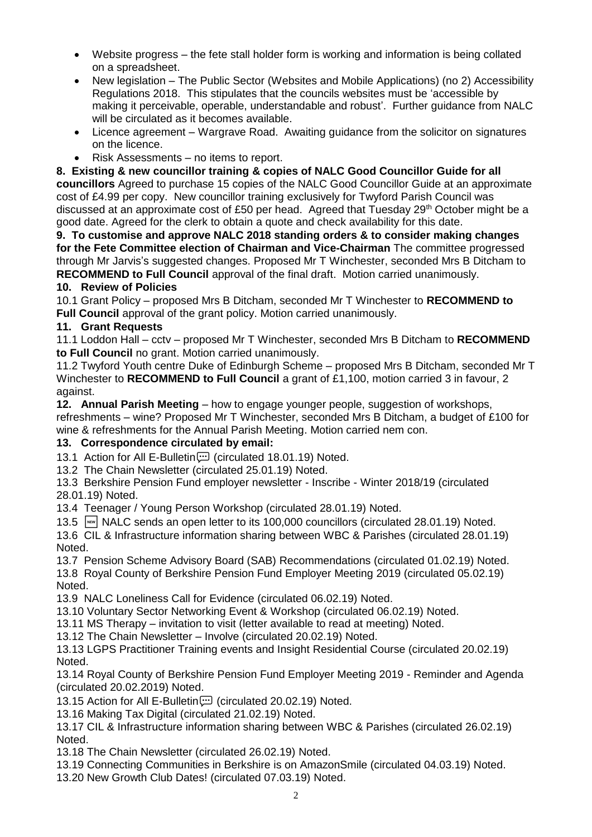- Website progress the fete stall holder form is working and information is being collated on a spreadsheet.
- New legislation The Public Sector (Websites and Mobile Applications) (no 2) Accessibility Regulations 2018. This stipulates that the councils websites must be 'accessible by making it perceivable, operable, understandable and robust'. Further guidance from NALC will be circulated as it becomes available.
- Licence agreement Wargrave Road. Awaiting guidance from the solicitor on signatures on the licence.
- Risk Assessments no items to report.

**8. Existing & new councillor training & copies of NALC Good Councillor Guide for all councillors** Agreed to purchase 15 copies of the NALC Good Councillor Guide at an approximate cost of £4.99 per copy. New councillor training exclusively for Twyford Parish Council was discussed at an approximate cost of £50 per head. Agreed that Tuesday 29<sup>th</sup> October might be a good date. Agreed for the clerk to obtain a quote and check availability for this date.

**9. To customise and approve NALC 2018 standing orders & to consider making changes for the Fete Committee election of Chairman and Vice-Chairman** The committee progressed through Mr Jarvis's suggested changes. Proposed Mr T Winchester, seconded Mrs B Ditcham to **RECOMMEND to Full Council** approval of the final draft. Motion carried unanimously.

# **10. Review of Policies**

10.1 Grant Policy – proposed Mrs B Ditcham, seconded Mr T Winchester to **RECOMMEND to Full Council** approval of the grant policy. Motion carried unanimously.

## **11. Grant Requests**

11.1 Loddon Hall – cctv – proposed Mr T Winchester, seconded Mrs B Ditcham to **RECOMMEND to Full Council** no grant. Motion carried unanimously.

11.2 Twyford Youth centre Duke of Edinburgh Scheme – proposed Mrs B Ditcham, seconded Mr T Winchester to **RECOMMEND to Full Council** a grant of £1,100, motion carried 3 in favour, 2 against.

**12. Annual Parish Meeting** – how to engage younger people, suggestion of workshops,

refreshments – wine? Proposed Mr T Winchester, seconded Mrs B Ditcham, a budget of £100 for wine & refreshments for the Annual Parish Meeting. Motion carried nem con.

#### **13. Correspondence circulated by email:**

13.1 Action for All E-Bulletin (:) (circulated 18.01.19) Noted.

13.2 The Chain Newsletter (circulated 25.01.19) Noted.

13.3 Berkshire Pension Fund employer newsletter - Inscribe - Winter 2018/19 (circulated 28.01.19) Noted.

13.4 Teenager / Young Person Workshop (circulated 28.01.19) Noted.

13.5 **NALC sends an open letter to its 100,000 councillors (circulated 28.01.19) Noted.** 

13.6 CIL & Infrastructure information sharing between WBC & Parishes (circulated 28.01.19) Noted.

13.7 Pension Scheme Advisory Board (SAB) Recommendations (circulated 01.02.19) Noted.

13.8 Royal County of Berkshire Pension Fund Employer Meeting 2019 (circulated 05.02.19) Noted.

13.9 NALC Loneliness Call for Evidence (circulated 06.02.19) Noted.

13.10 Voluntary Sector Networking Event & Workshop (circulated 06.02.19) Noted.

13.11 MS Therapy – invitation to visit (letter available to read at meeting) Noted.

13.12 The Chain Newsletter – Involve (circulated 20.02.19) Noted.

13.13 LGPS Practitioner Training events and Insight Residential Course (circulated 20.02.19) Noted.

13.14 Royal County of Berkshire Pension Fund Employer Meeting 2019 - Reminder and Agenda (circulated 20.02.2019) Noted.

13.15 Action for All E-Bulletin [11] (circulated 20.02.19) Noted.

13.16 Making Tax Digital (circulated 21.02.19) Noted.

13.17 CIL & Infrastructure information sharing between WBC & Parishes (circulated 26.02.19) Noted.

13.18 The Chain Newsletter (circulated 26.02.19) Noted.

13.19 Connecting Communities in Berkshire is on AmazonSmile (circulated 04.03.19) Noted. 13.20 New Growth Club Dates! (circulated 07.03.19) Noted.